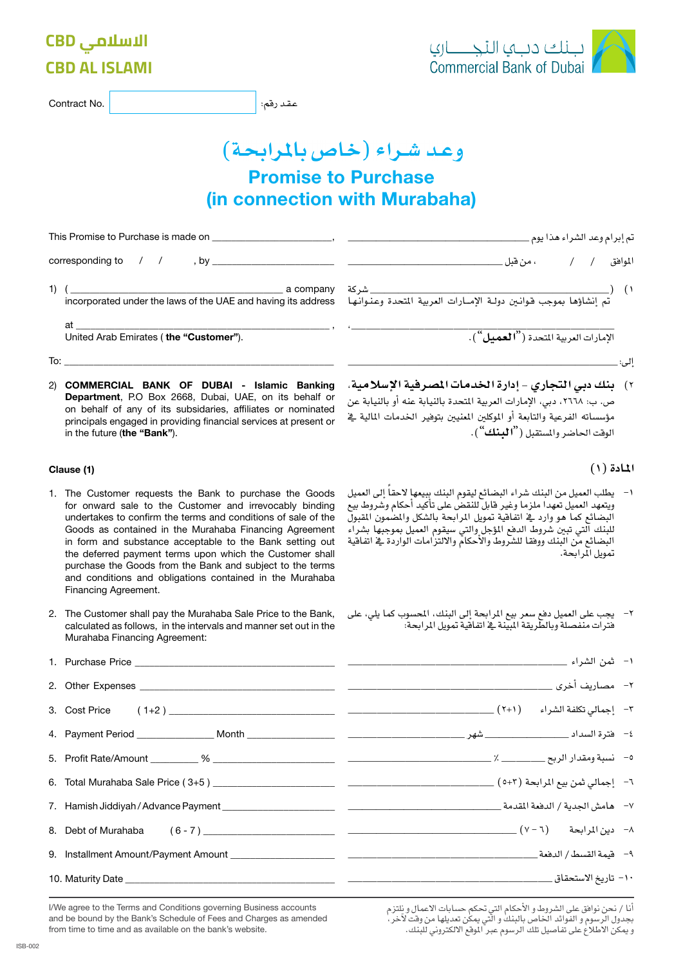|                                                                                                                                                                                                                                                                                                                                                                                                                                                                                                                        | وعد شراء (خاص بالمرابحة)                                                                                                                                                                                                                                                                                                                                                                   |  |
|------------------------------------------------------------------------------------------------------------------------------------------------------------------------------------------------------------------------------------------------------------------------------------------------------------------------------------------------------------------------------------------------------------------------------------------------------------------------------------------------------------------------|--------------------------------------------------------------------------------------------------------------------------------------------------------------------------------------------------------------------------------------------------------------------------------------------------------------------------------------------------------------------------------------------|--|
|                                                                                                                                                                                                                                                                                                                                                                                                                                                                                                                        | <b>Promise to Purchase</b>                                                                                                                                                                                                                                                                                                                                                                 |  |
|                                                                                                                                                                                                                                                                                                                                                                                                                                                                                                                        | (in connection with Murabaha)                                                                                                                                                                                                                                                                                                                                                              |  |
|                                                                                                                                                                                                                                                                                                                                                                                                                                                                                                                        |                                                                                                                                                                                                                                                                                                                                                                                            |  |
|                                                                                                                                                                                                                                                                                                                                                                                                                                                                                                                        |                                                                                                                                                                                                                                                                                                                                                                                            |  |
|                                                                                                                                                                                                                                                                                                                                                                                                                                                                                                                        |                                                                                                                                                                                                                                                                                                                                                                                            |  |
|                                                                                                                                                                                                                                                                                                                                                                                                                                                                                                                        | $\left( \begin{array}{c} \lambda \\ \end{array} \right)$                                                                                                                                                                                                                                                                                                                                   |  |
|                                                                                                                                                                                                                                                                                                                                                                                                                                                                                                                        | الإمارات العربية المتحدة ("العميل").                                                                                                                                                                                                                                                                                                                                                       |  |
| $\overline{a}$ To: $\overline{a}$ and $\overline{a}$ and $\overline{a}$ and $\overline{a}$ and $\overline{a}$ and $\overline{a}$ and $\overline{a}$ and $\overline{a}$ and $\overline{a}$ and $\overline{a}$ and $\overline{a}$ and $\overline{a}$ and $\overline{a}$ and $\overline{a}$ and $\overline{a}$ and $\overline{a}$ and                                                                                                                                                                                     |                                                                                                                                                                                                                                                                                                                                                                                            |  |
| 2) COMMERCIAL BANK OF DUBAI - Islamic Banking<br>Department, P.O Box 2668, Dubai, UAE, on its behalf or<br>on behalf of any of its subsidaries, affiliates or nominated<br>principals engaged in providing financial services at present or<br>in the future (the "Bank").                                                                                                                                                                                                                                             | ٢) _ بنك دبي التجاري - إدارة الخدمات المصرفية الإسلامية،<br>ص. ب: ٢٦٦٨، دبي، الإمارات العربية المتحدة بالنيابة عنه أو بالنيابة عن<br>مؤسساته الفرعية والتابعة أو الموكلين المنيين بتوفير الخدمات المالية فج<br>الوقت الحاضر والمستقبل (" <b>البنك</b> ").                                                                                                                                  |  |
| Clause (1)                                                                                                                                                                                                                                                                                                                                                                                                                                                                                                             | المادة (١)                                                                                                                                                                                                                                                                                                                                                                                 |  |
| 1. The Customer requests the Bank to purchase the Goods<br>for onward sale to the Customer and irrevocably binding<br>undertakes to confirm the terms and conditions of sale of the<br>Goods as contained in the Murahaba Financing Agreement<br>in form and substance acceptable to the Bank setting out<br>the deferred payment terms upon which the Customer shall<br>purchase the Goods from the Bank and subject to the terms<br>and conditions and obligations contained in the Murahaba<br>Financing Agreement. | ١– يطلب العميل من البنك شراء البضائع ليقوم البنك ببيعها لاحقا إلى العميل<br>ويتعهد العميل تعهدا ملزما وغير فابل للنقض على تأكيد أحكام وشروط بيع<br>البضائع كما هو وارد في اتفاقية تمويل المرابحة بالشكل والمصمون المقبول<br>للبنك التي تبين شروط الدفع المؤجل والتي سيقوم العميل بموجبها بشراء<br>البضائع من البنك ووفقا للشروط والأحكام والالتزامات الواردة في اتفاقية<br>تمويل المرابحة. |  |
| 2. The Customer shall pay the Murahaba Sale Price to the Bank,<br>calculated as follows, in the intervals and manner set out in the<br>Murahaba Financing Agreement:                                                                                                                                                                                                                                                                                                                                                   | ٢–   يجب على العميل دفع سعر بيع المرابحة إلى البنك، المحسوب كما يلي، على<br>فترات منفصلة وبالطريقة المبنة في اتفاقية تمويل المرابحة:                                                                                                                                                                                                                                                       |  |
|                                                                                                                                                                                                                                                                                                                                                                                                                                                                                                                        |                                                                                                                                                                                                                                                                                                                                                                                            |  |
|                                                                                                                                                                                                                                                                                                                                                                                                                                                                                                                        |                                                                                                                                                                                                                                                                                                                                                                                            |  |
| 3. Cost Price                                                                                                                                                                                                                                                                                                                                                                                                                                                                                                          |                                                                                                                                                                                                                                                                                                                                                                                            |  |
|                                                                                                                                                                                                                                                                                                                                                                                                                                                                                                                        |                                                                                                                                                                                                                                                                                                                                                                                            |  |
|                                                                                                                                                                                                                                                                                                                                                                                                                                                                                                                        |                                                                                                                                                                                                                                                                                                                                                                                            |  |
|                                                                                                                                                                                                                                                                                                                                                                                                                                                                                                                        |                                                                                                                                                                                                                                                                                                                                                                                            |  |
|                                                                                                                                                                                                                                                                                                                                                                                                                                                                                                                        |                                                                                                                                                                                                                                                                                                                                                                                            |  |
| 8. Debt of Murahaba                                                                                                                                                                                                                                                                                                                                                                                                                                                                                                    |                                                                                                                                                                                                                                                                                                                                                                                            |  |
|                                                                                                                                                                                                                                                                                                                                                                                                                                                                                                                        |                                                                                                                                                                                                                                                                                                                                                                                            |  |
|                                                                                                                                                                                                                                                                                                                                                                                                                                                                                                                        |                                                                                                                                                                                                                                                                                                                                                                                            |  |

I/We agree to the Terms and Conditions governing Business accounts and be bound by the Bank's Schedule of Fees and Charges as amended from time to time and as available on the bank's website.

# **الاسلامي CBD CBD AL ISLAMI**

عقد رقم: |

| Contract No. |  |
|--------------|--|
|--------------|--|

بلك دبي التجــــاري<br>Commercial Bank of Dubai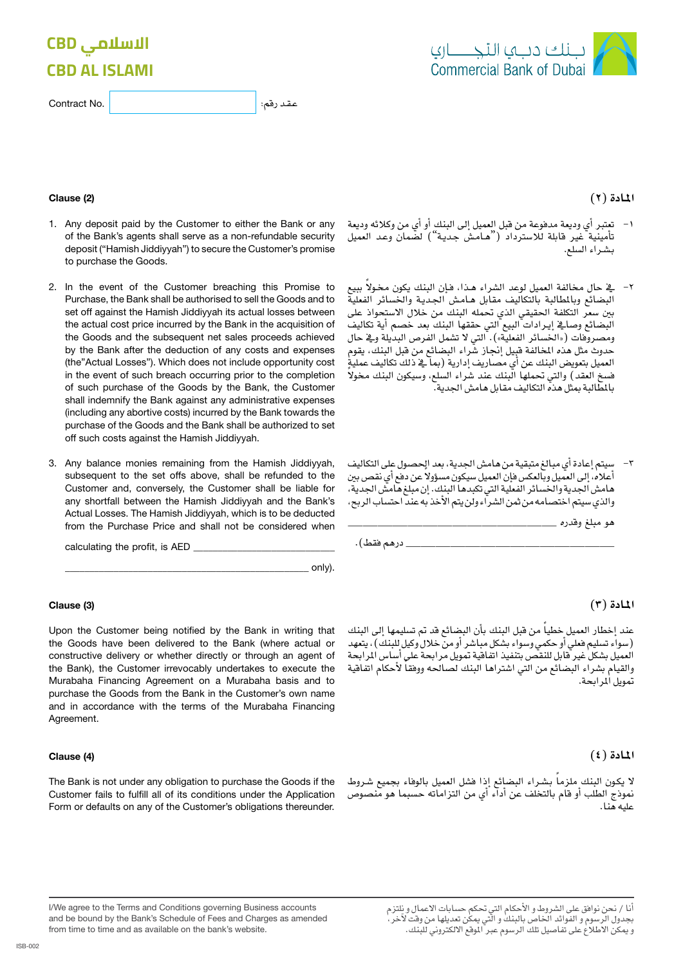# **الاسلامي CBD CBD AL ISLAMI**

| Contract No. |
|--------------|
|--------------|



### **املـادة )2(**

- -1 تعترب أي وديعة مدفوعة من قبل العميل إىل البنك أو أي من وكالئه وديعة تأمينية غير قابلة للاسترداد ("هـامـشٌ جديـة") لضّمان وعد العميل بـ�شـراء ال�سلع.
- -2 يف حال خمالفة العميل لوعد ال�شراء هذا، ف إن البنك يكون خمو ًال ببيع البضائع وبالطالبة بالتكاليف مقابل هـامـش الجديـة والخسائر الفعلية بين سعر التكلفة الحقيقي الذي تحمله البنك من خلال الاستحواذ على البضائع وصايخ إيرادات البيع التي حققها البنك بعد خصم أية تكاليف ومصروفات («الخسائر الفعلية»). التي لا تشمل الفرص البديلة ويخ حال حدوث مثل هذه المخالفة قبيل إنجاز شْراء البضائع من قبل البنك، يقوم العميل بتعويض البنك عن أي مصاريف إدارية (بما يخ دلك تكاليف عمليةٍ فسخ العقد) والتي تحملها البنك عند شراء السلع، وسيكون البنك مخولا باملطالبة مبثل هذه التكاليف مقابل هام�ش اجلدية.
- سيتم إعادة أي مبالغ متبقية من هامش الجدية، بعد الحصول على التكاليف أعلاه، إلى العميل وبالعكس فإن العميل سيكون مسؤولا عن دفع أي نقص بين هامش الجدية والخسائر الفعلية التي تكبدها البنك. إن مبلغ هامش الجدية، والذي سيتم اختصامه من ثمن الشراء ولن يتم الأخذ به عند احتساب الربح،

هو مبلغ وقدره \_\_\_\_\_\_\_\_\_\_\_\_\_\_

\_\_\_\_\_\_\_\_\_\_\_\_\_\_ درهم فقط(.

**املـادة )3(**

عند إخطار العميل خطياً من قبل البنك بأن البضائع قد تم تسليمها إلى البنك )�سواء ت�سليم فعلي أو حكمي و�سواء ب�شكل مبا�شر أو من خالل وكيل للبنك(، يتعهد العميل بشكل غير قابل للنقص بتنفيذ اتفاقية تمويل مرابحة على أساس المرابحة ً لأحكام اتفاقية والقيام ب�شراء الب�ضائع من التي ا�شرتاها البنك ل�صاحله ووفقا تمويل ألمر ابحة.

### **املـادة )4(**

لا يكون البنك ملزماً بشـراء البضائع إذا فشل العميل بالوفاء بجميع شـروط<br>نموذج الطلب أو قام بالتخلف عن أداء أي من التزاماته حسبما هو منصوص عليه هنا.

#### (2) Clause

1. Any deposit paid by the Customer to either the Bank or any of the Bank's agents shall serve as a non-refundable security deposit ("Hamish Jiddiyyah") to secure the Customer's promise to purchase the Goods.

عقد رقم:

- 2. In the event of the Customer breaching this Promise to Purchase, the Bank shall be authorised to sell the Goods and to set off against the Hamish Jiddiyyah its actual losses between the actual cost price incurred by the Bank in the acquisition of the Goods and the subsequent net sales proceeds achieved by the Bank after the deduction of any costs and expenses (the"Actual Losses"). Which does not include opportunity cost in the event of such breach occurring prior to the completion of such purchase of the Goods by the Bank, the Customer shall indemnify the Bank against any administrative expenses (including any abortive costs) incurred by the Bank towards the purchase of the Goods and the Bank shall be authorized to set off such costs against the Hamish Jiddiyyah.
- 3. Any balance monies remaining from the Hamish Jiddiyyah, subsequent to the set offs above, shall be refunded to the Customer and, conversely, the Customer shall be liable for any shortfall between the Hamish Jiddiyyah and the Bank's Actual Losses. The Hamish Jiddiyyah, which is to be deducted from the Purchase Price and shall not be considered when

calculating the profit, is AED .(only\_\_\_\_\_\_\_\_\_\_\_\_\_\_\_\_\_\_\_\_\_\_\_\_\_\_\_\_\_\_\_\_\_\_\_\_\_\_\_\_\_\_\_\_\_\_\_\_\_\_

#### (3) Clause

Upon the Customer being notified by the Bank in writing that the Goods have been delivered to the Bank (where actual or constructive delivery or whether directly or through an agent of the Bank), the Customer irrevocably undertakes to execute the Murabaha Financing Agreement on a Murabaha basis and to purchase the Goods from the Bank in the Customer's own name and in accordance with the terms of the Murabaha Financing Agreement.

#### (4) Clause

The Bank is not under any obligation to purchase the Goods if the Customer fails to fulfill all of its conditions under the Application Form or defaults on any of the Customer's obligations thereunder.

أنا / نحن نوافق على الشروط و الأحكام التي تحكم حسابات الاعمال و نلتزم<br>بجدول الرسوم و الفوائد الخاص بالبنك و التي يمكن تعديلها من وقت لآخر ، .<br>و يمكن الأطلاع على تفاصيل تلك الرسوم عبر اللوقع الالكتروني للبنك.

I/We agree to the Terms and Conditions governing Business accounts and be bound by the Bank's Schedule of Fees and Charges as amended from time to time and as available on the bank's website.